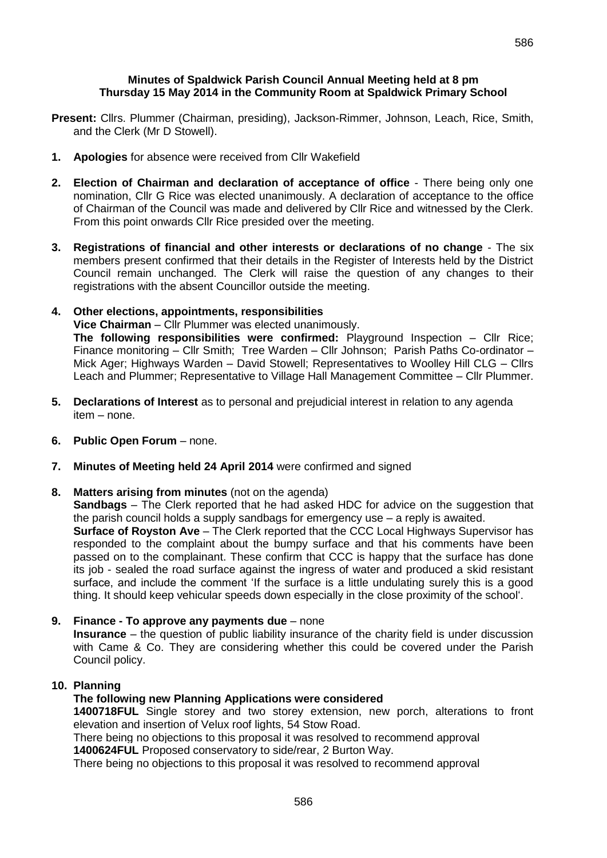### **Minutes of Spaldwick Parish Council Annual Meeting held at 8 pm Thursday 15 May 2014 in the Community Room at Spaldwick Primary School**

- **Present:** Cllrs. Plummer (Chairman, presiding), Jackson-Rimmer, Johnson, Leach, Rice, Smith, and the Clerk (Mr D Stowell).
- **1. Apologies** for absence were received from Cllr Wakefield
- **2. Election of Chairman and declaration of acceptance of office**  There being only one nomination, Cllr G Rice was elected unanimously. A declaration of acceptance to the office of Chairman of the Council was made and delivered by Cllr Rice and witnessed by the Clerk. From this point onwards Cllr Rice presided over the meeting.
- **3. Registrations of financial and other interests or declarations of no change**  The six members present confirmed that their details in the Register of Interests held by the District Council remain unchanged. The Clerk will raise the question of any changes to their registrations with the absent Councillor outside the meeting.

### **4. Other elections, appointments, responsibilities**

**Vice Chairman** – Cllr Plummer was elected unanimously.

**The following responsibilities were confirmed:** Playground Inspection – Cllr Rice; Finance monitoring – Cllr Smith; Tree Warden – Cllr Johnson; Parish Paths Co-ordinator – Mick Ager; Highways Warden – David Stowell; Representatives to Woolley Hill CLG – Cllrs Leach and Plummer; Representative to Village Hall Management Committee – Cllr Plummer.

- **5. Declarations of Interest** as to personal and prejudicial interest in relation to any agenda item – none.
- **6.** Public Open Forum none.
- **7. Minutes of Meeting held 24 April 2014** were confirmed and signed
- **8. Matters arising from minutes** (not on the agenda)

**Sandbags** – The Clerk reported that he had asked HDC for advice on the suggestion that the parish council holds a supply sandbags for emergency use – a reply is awaited.

**Surface of Royston Ave** – The Clerk reported that the CCC Local Highways Supervisor has responded to the complaint about the bumpy surface and that his comments have been passed on to the complainant. These confirm that CCC is happy that the surface has done its job - sealed the road surface against the ingress of water and produced a skid resistant surface, and include the comment 'If the surface is a little undulating surely this is a good thing. It should keep vehicular speeds down especially in the close proximity of the school'.

**9. Finance - To approve any payments due** – none

**Insurance** – the question of public liability insurance of the charity field is under discussion with Came & Co. They are considering whether this could be covered under the Parish Council policy.

# **10. Planning**

# **The following new Planning Applications were considered**

**1400718FUL** Single storey and two storey extension, new porch, alterations to front elevation and insertion of Velux roof lights, 54 Stow Road.

There being no objections to this proposal it was resolved to recommend approval **1400624FUL** Proposed conservatory to side/rear, 2 Burton Way.

There being no objections to this proposal it was resolved to recommend approval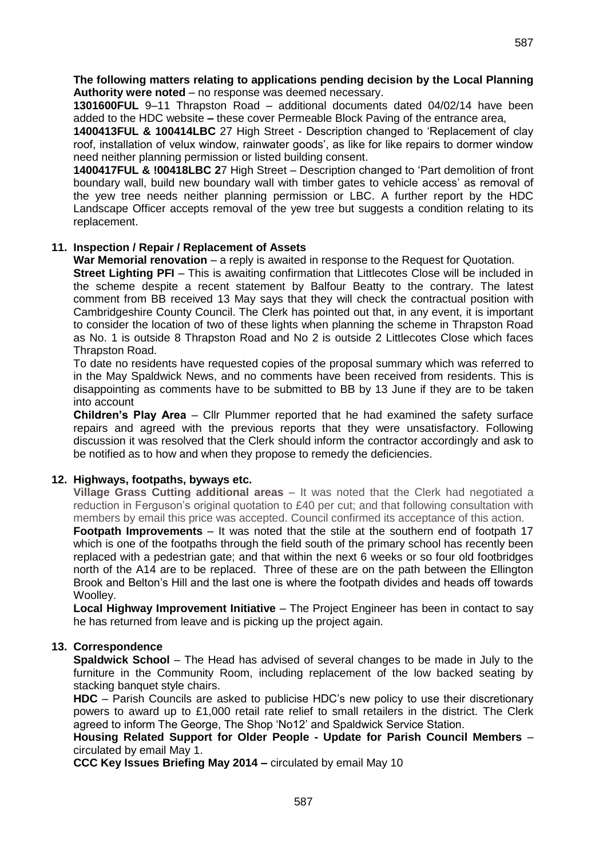**The following matters relating to applications pending decision by the Local Planning Authority were noted** – no response was deemed necessary.

**1301600FUL** 9–11 Thrapston Road – additional documents dated 04/02/14 have been added to the HDC website **–** these cover Permeable Block Paving of the entrance area,

**1400413FUL & 100414LBC** 27 High Street - Description changed to 'Replacement of clay roof, installation of velux window, rainwater goods', as like for like repairs to dormer window need neither planning permission or listed building consent.

**1400417FUL & !00418LBC 2**7 High Street – Description changed to 'Part demolition of front boundary wall, build new boundary wall with timber gates to vehicle access' as removal of the yew tree needs neither planning permission or LBC. A further report by the HDC Landscape Officer accepts removal of the yew tree but suggests a condition relating to its replacement.

### **11. Inspection / Repair / Replacement of Assets**

**War Memorial renovation** – a reply is awaited in response to the Request for Quotation.

**Street Lighting PFI** – This is awaiting confirmation that Littlecotes Close will be included in the scheme despite a recent statement by Balfour Beatty to the contrary. The latest comment from BB received 13 May says that they will check the contractual position with Cambridgeshire County Council. The Clerk has pointed out that, in any event, it is important to consider the location of two of these lights when planning the scheme in Thrapston Road as No. 1 is outside 8 Thrapston Road and No 2 is outside 2 Littlecotes Close which faces Thrapston Road.

To date no residents have requested copies of the proposal summary which was referred to in the May Spaldwick News, and no comments have been received from residents. This is disappointing as comments have to be submitted to BB by 13 June if they are to be taken into account

**Children's Play Area** – Cllr Plummer reported that he had examined the safety surface repairs and agreed with the previous reports that they were unsatisfactory. Following discussion it was resolved that the Clerk should inform the contractor accordingly and ask to be notified as to how and when they propose to remedy the deficiencies.

#### **12. Highways, footpaths, byways etc.**

**Village Grass Cutting additional areas** – It was noted that the Clerk had negotiated a reduction in Ferguson's original quotation to £40 per cut; and that following consultation with members by email this price was accepted. Council confirmed its acceptance of this action.

**Footpath Improvements** – It was noted that the stile at the southern end of footpath 17 which is one of the footpaths through the field south of the primary school has recently been replaced with a pedestrian gate; and that within the next 6 weeks or so four old footbridges north of the A14 are to be replaced. Three of these are on the path between the Ellington Brook and Belton's Hill and the last one is where the footpath divides and heads off towards Woolley.

**Local Highway Improvement Initiative** – The Project Engineer has been in contact to say he has returned from leave and is picking up the project again.

# **13. Correspondence**

**Spaldwick School** – The Head has advised of several changes to be made in July to the furniture in the Community Room, including replacement of the low backed seating by stacking banquet style chairs.

**HDC** – Parish Councils are asked to publicise HDC's new policy to use their discretionary powers to award up to £1,000 retail rate relief to small retailers in the district. The Clerk agreed to inform The George, The Shop 'No12' and Spaldwick Service Station.

**Housing Related Support for Older People - Update for Parish Council Members** – circulated by email May 1.

**CCC Key Issues Briefing May 2014 –** circulated by email May 10